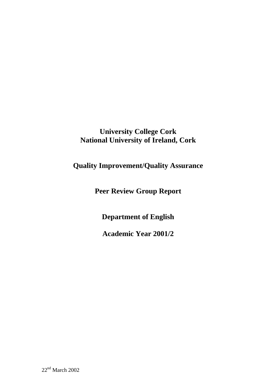# **University College Cork National University of Ireland, Cork**

# **Quality Improvement/Quality Assurance**

**Peer Review Group Report** 

**Department of English** 

**Academic Year 2001/2**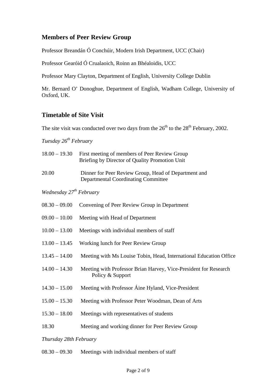# **Members of Peer Review Group**

Professor Breandán Ó Conchúir, Modern Irish Department, UCC (Chair)

Professor Gearóid Ó Crualaoich, Roinn an Bhéaloidis, UCC

Professor Mary Clayton, Department of English, University College Dublin

Mr. Bernard O' Donoghue, Department of English, Wadham College, University of Oxford, UK.

### **Timetable of Site Visit**

The site visit was conducted over two days from the  $26<sup>th</sup>$  to the  $28<sup>th</sup>$  February, 2002.

*Tuesday 26th February* 

| $18.00 - 19.30$                     | First meeting of members of Peer Review Group<br>Briefing by Director of Quality Promotion Unit    |  |
|-------------------------------------|----------------------------------------------------------------------------------------------------|--|
| 20.00                               | Dinner for Peer Review Group, Head of Department and<br><b>Departmental Coordinating Committee</b> |  |
| Wednesday 27 <sup>th</sup> February |                                                                                                    |  |
| $08.30 - 09.00$                     | Convening of Peer Review Group in Department                                                       |  |
| $09.00 - 10.00$                     | Meeting with Head of Department                                                                    |  |
| $10.00 - 13.00$                     | Meetings with individual members of staff                                                          |  |
| $13.00 - 13.45$                     | Working lunch for Peer Review Group                                                                |  |
| $13.45 - 14.00$                     | Meeting with Ms Louise Tobin, Head, International Education Office                                 |  |
| $14.00 - 14.30$                     | Meeting with Professor Brian Harvey, Vice-President for Research<br>Policy & Support               |  |
| $14.30 - 15.00$                     | Meeting with Professor Áine Hyland, Vice-President                                                 |  |
| $15.00 - 15.30$                     | Meeting with Professor Peter Woodman, Dean of Arts                                                 |  |
| $15.30 - 18.00$                     | Meetings with representatives of students                                                          |  |
| 18.30                               | Meeting and working dinner for Peer Review Group                                                   |  |
| Thursday 28th February              |                                                                                                    |  |

08.30 – 09.30 Meetings with individual members of staff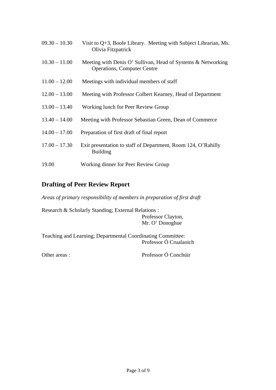| $09.30 - 10.30$ | Visit to $Q+3$ , Boole Library. Meeting with Subject Librarian, Ms.<br>Olivia Fitzpatrick          |
|-----------------|----------------------------------------------------------------------------------------------------|
| $10.30 - 11.00$ | Meeting with Denis O' Sullivan, Head of Systems & Networking<br><b>Operations, Computer Centre</b> |
| $11.00 - 12.00$ | Meetings with individual members of staff                                                          |
| $12.00 - 13.00$ | Meeting with Professor Colbert Kearney, Head of Department                                         |
| $13.00 - 13.40$ | Working lunch for Peer Review Group                                                                |
| $13.40 - 14.00$ | Meeting with Professor Sebastian Green, Dean of Commerce                                           |
| $14.00 - 17.00$ | Preparation of first draft of final report                                                         |
| $17.00 - 17.30$ | Exit presentation to staff of Department, Room 124, O'Rahilly<br><b>Building</b>                   |
| 19.00           | Working dinner for Peer Review Group                                                               |

# **Drafting of Peer Review Report**

*Areas of primary responsibility of members in preparation of first draft* 

Research & Scholarly Standing; External Relations : Professor Clayton, Mr. O' Donoghue

Teaching and Learning; Departmental Coordinating Committee: Professor Ó Crualaoich

Other areas : Professor Ó Conchúir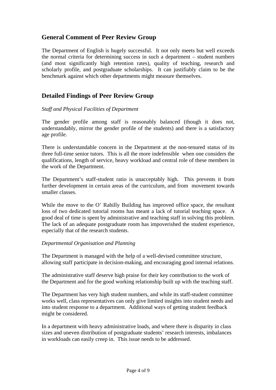# **General Comment of Peer Review Group**

The Department of English is hugely successful. It not only meets but well exceeds the normal criteria for determining success in such a department – student numbers (and most significantly high retention rates), quality of teaching, research and scholarly profile, and postgraduate scholarships. It can justifiably claim to be the benchmark against which other departments might measure themselves.

# **Detailed Findings of Peer Review Group**

#### *Staff and Physical Facilities of Department*

The gender profile among staff is reasonably balanced (though it does not, understandably, mirror the gender profile of the students) and there is a satisfactory age profile.

There is understandable concern in the Department at the non-tenured status of its three full-time senior tutors. This is all the more indefensible when one considers the qualifications, length of service, heavy workload and central role of these members in the work of the Department.

The Department's staff-student ratio is unacceptably high. This prevents it from further development in certain areas of the curriculum, and from movement towards smaller classes.

While the move to the O' Rahilly Building has improved office space, the resultant loss of two dedicated tutorial rooms has meant a lack of tutorial teaching space. A good deal of time is spent by administrative and teaching staff in solving this problem. The lack of an adequate postgraduate room has impoverished the student experience, especially that of the research students.

#### *Departmental Organisation and Planning*

The Department is managed with the help of a well-devised committee structure, allowing staff participate in decision-making, and encouraging good internal relations.

The administrative staff deserve high praise for their key contribution to the work of the Department and for the good working relationship built up with the teaching staff.

The Department has very high student numbers, and while its staff-student committee works well, class representatives can only give limited insights into student needs and into student response to a department. Additional ways of getting student feedback might be considered.

In a department with heavy administrative loads, and where there is disparity in class sizes and uneven distribution of postgraduate students' research interests, imbalances in workloads can easily creep in. This issue needs to be addressed.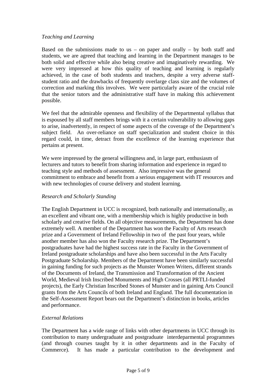#### *Teaching and Learning*

Based on the submissions made to us – on paper and orally – by both staff and students, we are agreed that teaching and learning in the Department manages to be both solid and effective while also being creative and imaginatively rewarding. We were very impressed at how this quality of teaching and learning is regularly achieved, in the case of both students and teachers, despite a very adverse staffstudent ratio and the drawbacks of frequently overlarge class size and the volumes of correction and marking this involves. We were particularly aware of the crucial role that the senior tutors and the administrative staff have in making this achievement possible.

We feel that the admirable openness and flexibility of the Departmental syllabus that is espoused by all staff members brings with it a certain vulnerability to allowing gaps to arise, inadvertently, in respect of some aspects of the coverage of the Department's subject field. An over-reliance on staff specialization and student choice in this regard could, in time, detract from the excellence of the learning experience that pertains at present.

We were impressed by the general willingness and, in large part, enthusiasm of lecturers and tutors to benefit from sharing information and experience in regard to teaching style and methods of assessment. Also impressive was the general commitment to embrace and benefit from a serious engagement with IT resources and with new technologies of course delivery and student learning.

#### *Research and Scholarly Standing*

The English Department in UCC is recognized, both nationally and internationally, as an excellent and vibrant one, with a membership which is highly productive in both scholarly and creative fields. On all objective measurements, the Department has done extremely well. A member of the Department has won the Faculty of Arts research prize and a Government of Ireland Fellowship in two of the past four years, while another member has also won the Faculty research prize. The Department's postgraduates have had the highest success rate in the Faculty in the Government of Ireland postgraduate scholarships and have also been successful in the Arts Faculty Postgraduate Scholarship. Members of the Department have been similarly successful in gaining funding for such projects as the Munster Women Writers, different strands of the Documents of Ireland, the Transmission and Transformation of the Ancient World, Medieval Irish Inscribed Monuments and High Crosses (all PRTLI-funded projects), the Early Christian Inscribed Stones of Munster and in gaining Arts Council grants from the Arts Councils of both Ireland and England. The full documentation in the Self-Assessment Report bears out the Department's distinction in books, articles and performance.

#### *External Relations*

The Department has a wide range of links with other departments in UCC through its contribution to many undergraduate and postgraduate interdeparmental programmes (and through courses taught by it in other departments and in the Faculty of Commerce). It has made a particular contribution to the development and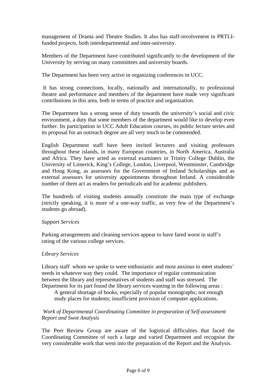management of Drama and Theatre Studies. It also has staff-involvement in PRTLIfunded projects, both interdepartmental and inter-university.

Members of the Department have contributed significantly to the development of the University by serving on many committees and university boards.

The Department has been very active in organizing conferences in UCC.

 It has strong connections, locally, nationally and internationally, to professional theatre and performance and members of the department have made very significant contributions in this area, both in terms of practice and organization.

The Department has a strong sense of duty towards the university's social and civic environment, a duty that some members of the department would like to develop even further. Its participation in UCC Adult Education courses, its public lecture series and its proposal for an outreach degree are all very much to be commended.

English Department staff have been invited lecturers and visiting professors throughout these islands, in many European countries, in North America, Australia and Africa. They have acted as external examiners in Trinity College Dublin, the University of Limerick, King's College, London, Liverpool, Westminster, Cambridge and Hong Kong, as assessors for the Government of Ireland Scholarships and as external assessors for university appointments throughout Ireland. A considerable number of them act as readers for periodicals and for academic publishers.

The hundreds of visiting students annually constitute the main type of exchange (strictly speaking, it is more of a one-way traffic, as very few of the Department's students go abroad).

#### *Support Services*

Parking arrangements and cleaning services appear to have fared worst in staff's rating of the various college services.

#### *Library Services*

Library staff whom we spoke to were enthusiastic and most anxious to meet students' needs in whatever way they could. The importance of regular communication between the library and representatives of students and staff was stressed. The Department for its part found the library services wanting in the following areas :

A general shortage of books, especially of popular monographs; not enough study places for students; insufficient provision of computer applications.

#### *Work of Departmental Coordinating Committee in preparation of Self-assessment Report and Swot Analysis*

The Peer Review Group are aware of the logistical difficulties that faced the Coordinating Committee of such a large and varied Department and recognise the very considerable work that went into the preparation of the Report and the Analysis.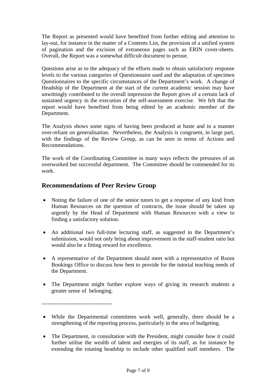The Report as presented would have benefited from further editing and attention to lay-out, for instance in the matter of a Contents List, the provision of a unified system of pagination and the excision of extraneous pages such as ERIN cover-sheets. Overall, the Report was a somewhat difficult document to peruse.

Questions arise as to the adequacy of the efforts made to obtain satisfactory response levels to the various categories of Questionnaire used and the adaptation of specimen Questionnaires to the specific circumstances of the Department's work. A change of Headship of the Department at the start of the current academic session may have unwittingly contributed to the overall impression the Report gives of a certain lack of sustained urgency in the execution of the self-assessment exercise. We felt that the report would have benefited from being edited by an academic member of the Department.

The Analysis shows some signs of having been produced at haste and in a manner over-reliant on generalisation. Nevertheless, the Analysis is congruent, in large part, with the findings of the Review Group, as can be seen in terms of Actions and Recommendations.

The work of the Coordinating Committee in many ways reflects the pressures of an overworked but successful department. The Committee should be commended for its work.

### **Recommendations of Peer Review Group**

- Noting the failure of one of the senior tutors to get a response of any kind from Human Resources on the question of contracts, the issue should be taken up urgently by the Head of Department with Human Resources with a view to finding a satisfactory solution.
- An additional two full-time lecturing staff, as suggested in the Department's submission, would not only bring about improvement in the staff-student ratio but would also be a fitting reward for excellence.
- A representative of the Department should meet with a representative of Room Bookings Office to discuss how best to provide for the tutorial teaching needs of the Department.
- The Department might further explore ways of giving its research students a greater sense of belonging.

--------------------------------------

- While the Departmental committees work well, generally, there should be a strengthening of the reporting process, particularly in the area of budgeting.
- The Department, in consultation with the President, might consider how it could further utilise the wealth of talent and energies of its staff, as for instance by extending the rotating headship to include other qualified staff members. The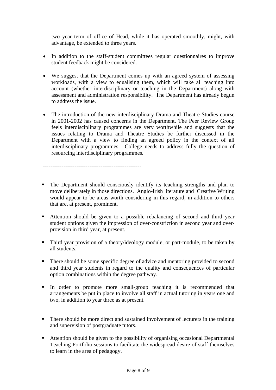two year term of office of Head, while it has operated smoothly, might, with advantage, be extended to three years.

- In addition to the staff-student committees regular questionnaires to improve student feedback might be considered.
- We suggest that the Department comes up with an agreed system of assessing workloads, with a view to equalising them, which will take all teaching into account (whether interdisciplinary or teaching in the Department) along with assessment and administration responsibility. The Department has already begun to address the issue.
- The introduction of the new interdisciplinary Drama and Theatre Studies course in 2001-2002 has caused concerns in the Department. The Peer Review Group feels interdisciplinary programmes are very worthwhile and suggests that the issues relating to Drama and Theatre Studies be further discussed in the Department with a view to finding an agreed policy in the context of all interdisciplinary programmes. College needs to address fully the question of resourcing interdisciplinary programmes.

-----------------------------------------------------

- The Department should consciously identify its teaching strengths and plan to move deliberately in those directions. Anglo-Irish literature and Creative Writing would appear to be areas worth considering in this regard, in addition to others that are, at present, prominent.
- Attention should be given to a possible rebalancing of second and third year student options given the impression of over-constriction in second year and overprovision in third year, at present.
- Third year provision of a theory/ideology module, or part-module, to be taken by all students.
- There should be some specific degree of advice and mentoring provided to second and third year students in regard to the quality and consequences of particular option combinations within the degree pathway.
- In order to promote more small-group teaching it is recommended that arrangements be put in place to involve all staff in actual tutoring in years one and two, in addition to year three as at present.
- There should be more direct and sustained involvement of lecturers in the training and supervision of postgraduate tutors.
- Attention should be given to the possibility of organising occasional Departmental Teaching Portfolio sessions to facilitate the widespread desire of staff themselves to learn in the area of pedagogy.